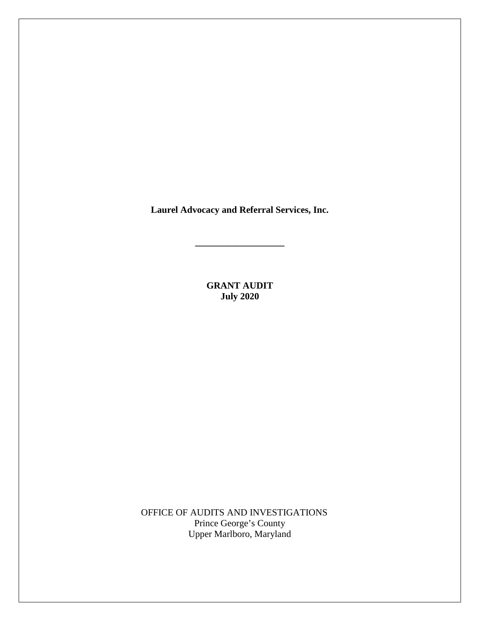**Laurel Advocacy and Referral Services, Inc.**

**\_\_\_\_\_\_\_\_\_\_\_\_\_\_\_\_\_\_\_**

**GRANT AUDIT July 2020**

OFFICE OF AUDITS AND INVESTIGATIONS Prince George's County Upper Marlboro, Maryland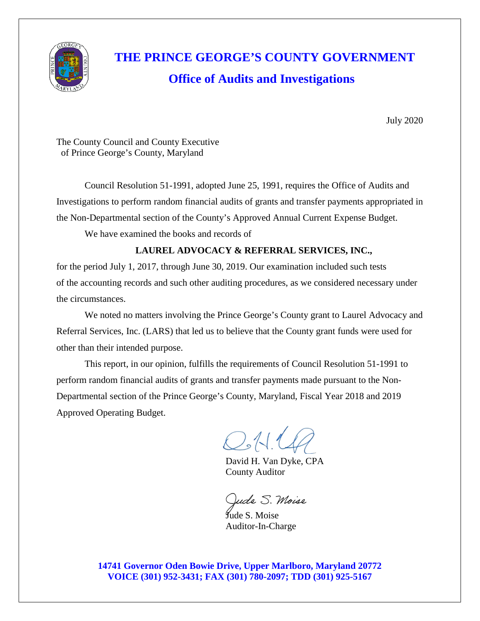

# **THE PRINCE GEORGE'S COUNTY GOVERNMENT Office of Audits and Investigations**

July 2020

The County Council and County Executive of Prince George's County, Maryland

Council Resolution 51-1991, adopted June 25, 1991, requires the Office of Audits and Investigations to perform random financial audits of grants and transfer payments appropriated in the Non-Departmental section of the County's Approved Annual Current Expense Budget. We have examined the books and records of

### **LAUREL ADVOCACY & REFERRAL SERVICES, INC.,**

for the period July 1, 2017, through June 30, 2019. Our examination included such tests of the accounting records and such other auditing procedures, as we considered necessary under the circumstances.

We noted no matters involving the Prince George's County grant to Laurel Advocacy and Referral Services, Inc. (LARS) that led us to believe that the County grant funds were used for other than their intended purpose.

This report, in our opinion, fulfills the requirements of Council Resolution 51-1991 to perform random financial audits of grants and transfer payments made pursuant to the Non-Departmental section of the Prince George's County, Maryland, Fiscal Year 2018 and 2019 Approved Operating Budget.

 $O_4$ 14

David H. Van Dyke, CPA County Auditor

ude S. Moise

 Jude S. Moise Auditor-In-Charge

**14741 Governor Oden Bowie Drive, Upper Marlboro, Maryland 20772 VOICE (301) 952-3431; FAX (301) 780-2097; TDD (301) 925-5167**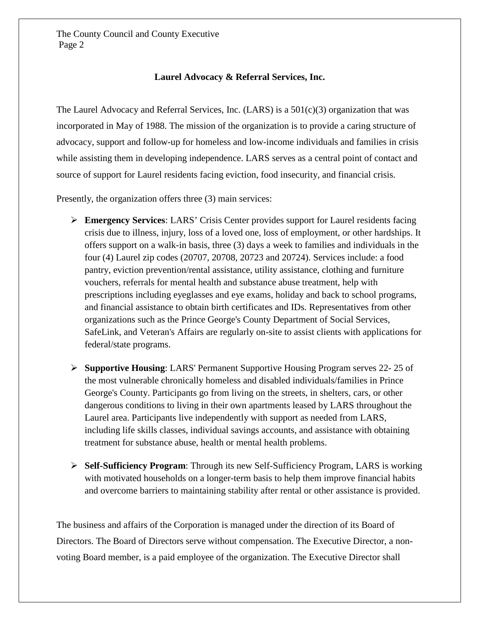#### **Laurel Advocacy & Referral Services, Inc.**

The Laurel Advocacy and Referral Services, Inc.  $(LARS)$  is a  $501(c)(3)$  organization that was incorporated in May of 1988. The mission of the organization is to provide a caring structure of advocacy, support and follow-up for homeless and low-income individuals and families in crisis while assisting them in developing independence. LARS serves as a central point of contact and source of support for Laurel residents facing eviction, food insecurity, and financial crisis.

Presently, the organization offers three (3) main services:

- **Emergency Services**: LARS' Crisis Center provides support for Laurel residents facing crisis due to illness, injury, loss of a loved one, loss of employment, or other hardships. It offers support on a walk-in basis, three (3) days a week to families and individuals in the four (4) Laurel zip codes (20707, 20708, 20723 and 20724). Services include: a food pantry, eviction prevention/rental assistance, utility assistance, clothing and furniture vouchers, referrals for mental health and substance abuse treatment, help with prescriptions including eyeglasses and eye exams, holiday and back to school programs, and financial assistance to obtain birth certificates and IDs. Representatives from other organizations such as the Prince George's County Department of Social Services, SafeLink, and Veteran's Affairs are regularly on-site to assist clients with applications for federal/state programs.
- **Supportive Housing**: LARS' Permanent Supportive Housing Program serves 22- 25 of the most vulnerable chronically homeless and disabled individuals/families in Prince George's County. Participants go from living on the streets, in shelters, cars, or other dangerous conditions to living in their own apartments leased by LARS throughout the Laurel area. Participants live independently with support as needed from LARS, including life skills classes, individual savings accounts, and assistance with obtaining treatment for substance abuse, health or mental health problems.
- **Self-Sufficiency Program**: Through its new Self-Sufficiency Program, LARS is working with motivated households on a longer-term basis to help them improve financial habits and overcome barriers to maintaining stability after rental or other assistance is provided.

The business and affairs of the Corporation is managed under the direction of its Board of Directors. The Board of Directors serve without compensation. The Executive Director, a nonvoting Board member, is a paid employee of the organization. The Executive Director shall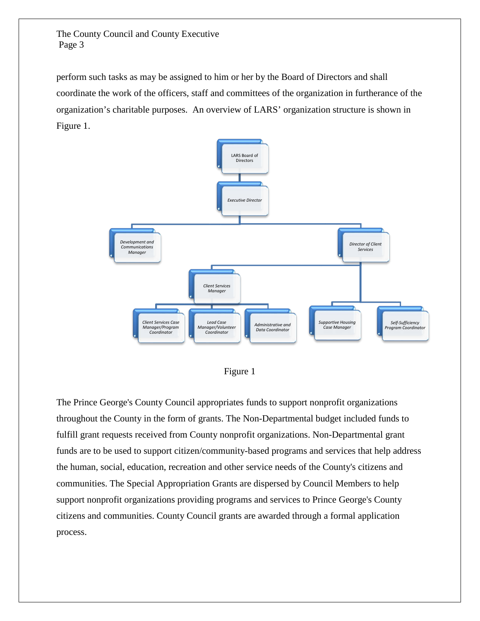perform such tasks as may be assigned to him or her by the Board of Directors and shall coordinate the work of the officers, staff and committees of the organization in furtherance of the organization's charitable purposes. An overview of LARS' organization structure is shown in Figure 1.





The Prince George's County Council appropriates funds to support nonprofit organizations throughout the County in the form of grants. The Non-Departmental budget included funds to fulfill grant requests received from County nonprofit organizations. Non-Departmental grant funds are to be used to support citizen/community-based programs and services that help address the human, social, education, recreation and other service needs of the County's citizens and communities. The Special Appropriation Grants are dispersed by Council Members to help support nonprofit organizations providing programs and services to Prince George's County citizens and communities. County Council grants are awarded through a formal application process.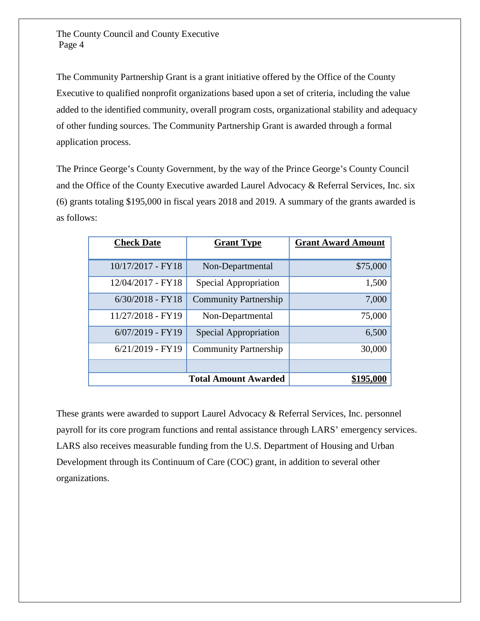The Community Partnership Grant is a grant initiative offered by the Office of the County Executive to qualified nonprofit organizations based upon a set of criteria, including the value added to the identified community, overall program costs, organizational stability and adequacy of other funding sources. The Community Partnership Grant is awarded through a formal application process.

The Prince George's County Government, by the way of the Prince George's County Council and the Office of the County Executive awarded Laurel Advocacy & Referral Services, Inc. six (6) grants totaling \$195,000 in fiscal years 2018 and 2019. A summary of the grants awarded is as follows:

| <b>Check Date</b>           | <b>Grant Type</b>            | <b>Grant Award Amount</b> |
|-----------------------------|------------------------------|---------------------------|
| 10/17/2017 - FY18           | Non-Departmental             | \$75,000                  |
| 12/04/2017 - FY18           | Special Appropriation        | 1,500                     |
| $6/30/2018$ - FY18          | <b>Community Partnership</b> | 7,000                     |
| 11/27/2018 - FY19           | Non-Departmental             | 75,000                    |
| $6/07/2019$ - FY19          | Special Appropriation        | 6,500                     |
| $6/21/2019$ - FY19          | <b>Community Partnership</b> | 30,000                    |
|                             |                              |                           |
| <b>Total Amount Awarded</b> |                              |                           |

These grants were awarded to support Laurel Advocacy & Referral Services, Inc. personnel payroll for its core program functions and rental assistance through LARS' emergency services. LARS also receives measurable funding from the U.S. Department of Housing and Urban Development through its Continuum of Care (COC) grant, in addition to several other organizations.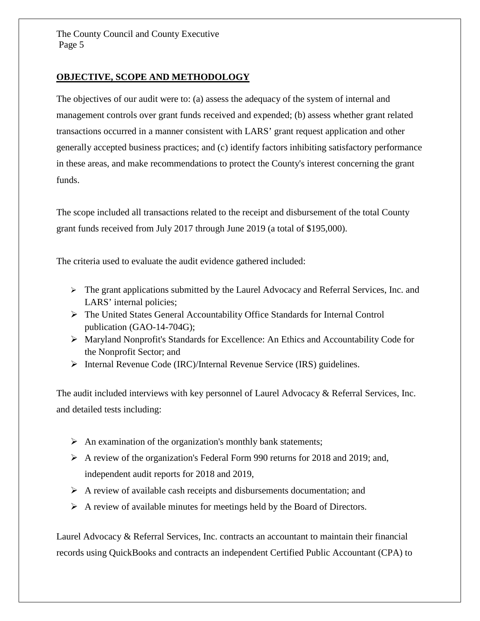#### **OBJECTIVE, SCOPE AND METHODOLOGY**

The objectives of our audit were to: (a) assess the adequacy of the system of internal and management controls over grant funds received and expended; (b) assess whether grant related transactions occurred in a manner consistent with LARS' grant request application and other generally accepted business practices; and (c) identify factors inhibiting satisfactory performance in these areas, and make recommendations to protect the County's interest concerning the grant funds.

The scope included all transactions related to the receipt and disbursement of the total County grant funds received from July 2017 through June 2019 (a total of \$195,000).

The criteria used to evaluate the audit evidence gathered included:

- $\triangleright$  The grant applications submitted by the Laurel Advocacy and Referral Services, Inc. and LARS' internal policies;
- The United States General Accountability Office Standards for Internal Control publication (GAO-14-704G);
- Maryland Nonprofit's Standards for Excellence: An Ethics and Accountability Code for the Nonprofit Sector; and
- Internal Revenue Code (IRC)/Internal Revenue Service (IRS) guidelines.

The audit included interviews with key personnel of Laurel Advocacy & Referral Services, Inc. and detailed tests including:

- $\triangleright$  An examination of the organization's monthly bank statements;
- A review of the organization's Federal Form 990 returns for 2018 and 2019; and, independent audit reports for 2018 and 2019,
- $\triangleright$  A review of available cash receipts and disbursements documentation; and
- $\triangleright$  A review of available minutes for meetings held by the Board of Directors.

Laurel Advocacy & Referral Services, Inc. contracts an accountant to maintain their financial records using QuickBooks and contracts an independent Certified Public Accountant (CPA) to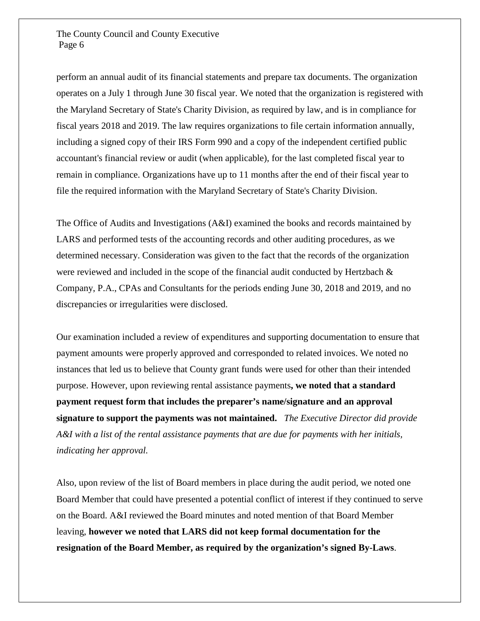perform an annual audit of its financial statements and prepare tax documents. The organization operates on a July 1 through June 30 fiscal year. We noted that the organization is registered with the Maryland Secretary of State's Charity Division, as required by law, and is in compliance for fiscal years 2018 and 2019. The law requires organizations to file certain information annually, including a signed copy of their IRS Form 990 and a copy of the independent certified public accountant's financial review or audit (when applicable), for the last completed fiscal year to remain in compliance. Organizations have up to 11 months after the end of their fiscal year to file the required information with the Maryland Secretary of State's Charity Division.

The Office of Audits and Investigations (A&I) examined the books and records maintained by LARS and performed tests of the accounting records and other auditing procedures, as we determined necessary. Consideration was given to the fact that the records of the organization were reviewed and included in the scope of the financial audit conducted by Hertzbach & Company, P.A., CPAs and Consultants for the periods ending June 30, 2018 and 2019, and no discrepancies or irregularities were disclosed.

Our examination included a review of expenditures and supporting documentation to ensure that payment amounts were properly approved and corresponded to related invoices. We noted no instances that led us to believe that County grant funds were used for other than their intended purpose. However, upon reviewing rental assistance payments**, we noted that a standard payment request form that includes the preparer's name/signature and an approval signature to support the payments was not maintained.** *The Executive Director did provide A&I with a list of the rental assistance payments that are due for payments with her initials, indicating her approval.*

Also, upon review of the list of Board members in place during the audit period, we noted one Board Member that could have presented a potential conflict of interest if they continued to serve on the Board. A&I reviewed the Board minutes and noted mention of that Board Member leaving, **however we noted that LARS did not keep formal documentation for the resignation of the Board Member, as required by the organization's signed By-Laws**.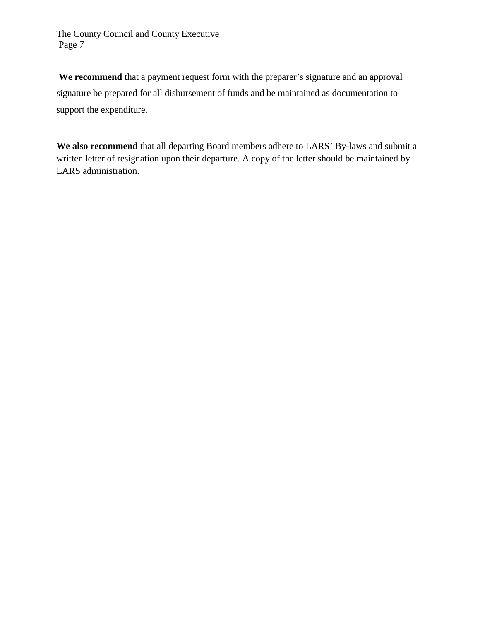**We recommend** that a payment request form with the preparer's signature and an approval signature be prepared for all disbursement of funds and be maintained as documentation to support the expenditure.

**We also recommend** that all departing Board members adhere to LARS' By-laws and submit a written letter of resignation upon their departure. A copy of the letter should be maintained by LARS administration.